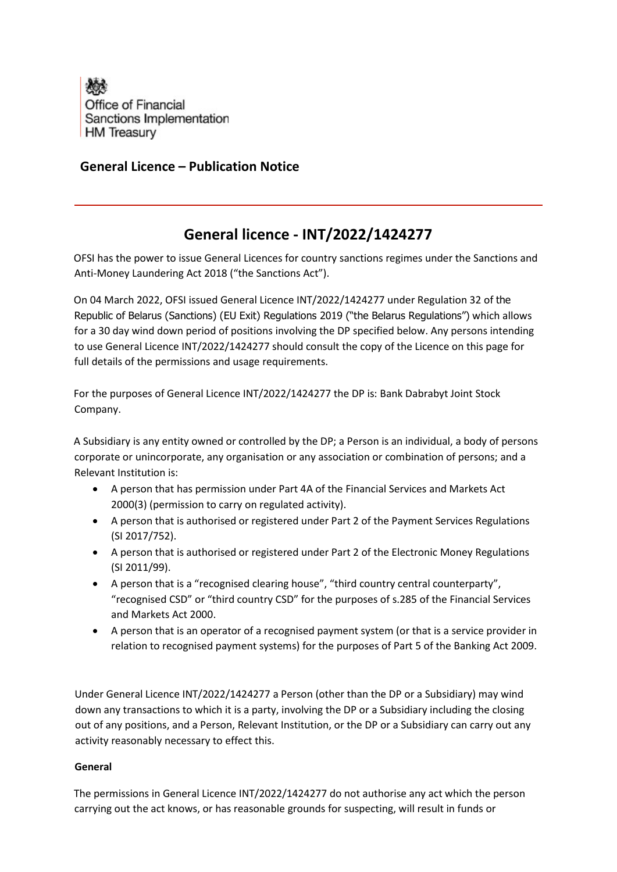

## **General Licence – Publication Notice**

## **General licence - INT/2022/1424277**

OFSI has the power to issue General Licences for country sanctions regimes under the Sanctions and Anti-Money Laundering Act 2018 ("the Sanctions Act").

On 04 March 2022, OFSI issued General Licence INT/2022/1424277 under Regulation 32 of the Republic of Belarus (Sanctions) (EU Exit) Regulations 2019 ("the Belarus Regulations") which allows for a 30 day wind down period of positions involving the DP specified below. Any persons intending to use General Licence INT/2022/1424277 should consult the copy of the Licence on this page for full details of the permissions and usage requirements.

For the purposes of General Licence INT/2022/1424277 the DP is: Bank Dabrabyt Joint Stock Company.

A Subsidiary is any entity owned or controlled by the DP; a Person is an individual, a body of persons corporate or unincorporate, any organisation or any association or combination of persons; and a Relevant Institution is:

- A person that has permission under Part 4A of the Financial Services and Markets Act 2000(3) (permission to carry on regulated activity).
- A person that is authorised or registered under Part 2 of the Payment Services Regulations (SI 2017/752).
- A person that is authorised or registered under Part 2 of the Electronic Money Regulations (SI 2011/99).
- A person that is a "recognised clearing house", "third country central counterparty", "recognised CSD" or "third country CSD" for the purposes of s.285 of the Financial Services and Markets Act 2000.
- A person that is an operator of a recognised payment system (or that is a service provider in relation to recognised payment systems) for the purposes of Part 5 of the Banking Act 2009.

Under General Licence INT/2022/1424277 a Person (other than the DP or a Subsidiary) may wind down any transactions to which it is a party, involving the DP or a Subsidiary including the closing out of any positions, and a Person, Relevant Institution, or the DP or a Subsidiary can carry out any activity reasonably necessary to effect this.

## **General**

The permissions in General Licence INT/2022/1424277 do not authorise any act which the person carrying out the act knows, or has reasonable grounds for suspecting, will result in funds or